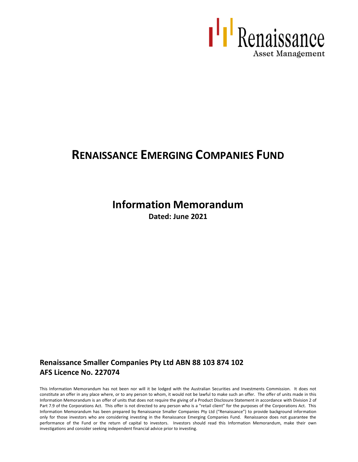

# **RENAISSANCE EMERGING COMPANIES FUND**

# **Information Memorandum**

**Dated: June 2021**

# **Renaissance Smaller Companies Pty Ltd ABN 88 103 874 102 AFS Licence No. 227074**

This Information Memorandum has not been nor will it be lodged with the Australian Securities and Investments Commission. It does not constitute an offer in any place where, or to any person to whom, it would not be lawful to make such an offer. The offer of units made in this Information Memorandum is an offer of units that does not require the giving of a Product Disclosure Statement in accordance with Division 2 of Part 7.9 of the Corporations Act. This offer is not directed to any person who is a "retail client" for the purposes of the Corporations Act. This Information Memorandum has been prepared by Renaissance Smaller Companies Pty Ltd ("Renaissance") to provide background information only for those investors who are considering investing in the Renaissance Emerging Companies Fund. Renaissance does not guarantee the performance of the Fund or the return of capital to investors. Investors should read this Information Memorandum, make their own investigations and consider seeking independent financial advice prior to investing.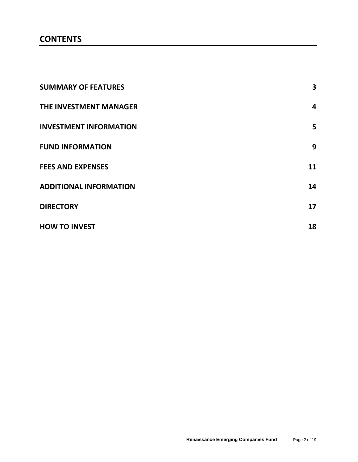# **CONTENTS**

| <b>SUMMARY OF FEATURES</b>    | 3  |
|-------------------------------|----|
| THE INVESTMENT MANAGER        | 4  |
| <b>INVESTMENT INFORMATION</b> | 5  |
| <b>FUND INFORMATION</b>       | 9  |
| <b>FEES AND EXPENSES</b>      | 11 |
| <b>ADDITIONAL INFORMATION</b> | 14 |
| <b>DIRECTORY</b>              | 17 |
| <b>HOW TO INVEST</b>          | 18 |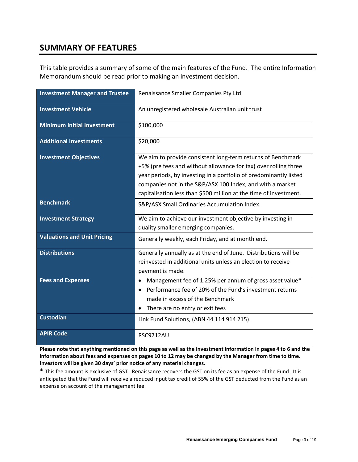# **SUMMARY OF FEATURES**

This table provides a summary of some of the main features of the Fund. The entire Information Memorandum should be read prior to making an investment decision.

| <b>Investment Manager and Trustee</b> | Renaissance Smaller Companies Pty Ltd                                                                                                                                                                                                                                                                                                 |  |
|---------------------------------------|---------------------------------------------------------------------------------------------------------------------------------------------------------------------------------------------------------------------------------------------------------------------------------------------------------------------------------------|--|
| <b>Investment Vehicle</b>             | An unregistered wholesale Australian unit trust                                                                                                                                                                                                                                                                                       |  |
| <b>Minimum Initial Investment</b>     | \$100,000                                                                                                                                                                                                                                                                                                                             |  |
| <b>Additional Investments</b>         | \$20,000                                                                                                                                                                                                                                                                                                                              |  |
| <b>Investment Objectives</b>          | We aim to provide consistent long-term returns of Benchmark<br>+5% (pre fees and without allowance for tax) over rolling three<br>year periods, by investing in a portfolio of predominantly listed<br>companies not in the S&P/ASX 100 Index, and with a market<br>capitalisation less than \$500 million at the time of investment. |  |
| <b>Benchmark</b>                      | S&P/ASX Small Ordinaries Accumulation Index.                                                                                                                                                                                                                                                                                          |  |
| <b>Investment Strategy</b>            | We aim to achieve our investment objective by investing in<br>quality smaller emerging companies.                                                                                                                                                                                                                                     |  |
| <b>Valuations and Unit Pricing</b>    | Generally weekly, each Friday, and at month end.                                                                                                                                                                                                                                                                                      |  |
| <b>Distributions</b>                  | Generally annually as at the end of June. Distributions will be<br>reinvested in additional units unless an election to receive<br>payment is made.                                                                                                                                                                                   |  |
| <b>Fees and Expenses</b>              | Management fee of 1.25% per annum of gross asset value*<br>$\bullet$<br>Performance fee of 20% of the Fund's investment returns<br>$\bullet$<br>made in excess of the Benchmark<br>There are no entry or exit fees                                                                                                                    |  |
| <b>Custodian</b>                      | Link Fund Solutions, (ABN 44 114 914 215).                                                                                                                                                                                                                                                                                            |  |
| <b>APIR Code</b>                      | <b>RSC9712AU</b>                                                                                                                                                                                                                                                                                                                      |  |

**Please note that anything mentioned on this page as well as the investment information in pages 4 to 6 and the information about fees and expenses on pages 10 to 12 may be changed by the Manager from time to time. Investors will be given 30 days' prior notice of any material changes.**

\* This fee amount is exclusive of GST. Renaissance recovers the GST on its fee as an expense of the Fund. It is anticipated that the Fund will receive a reduced input tax credit of 55% of the GST deducted from the Fund as an expense on account of the management fee.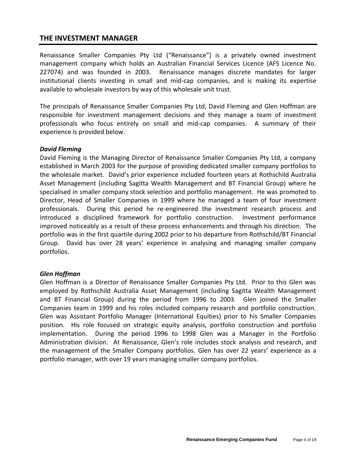## **THE INVESTMENT MANAGER**

Renaissance Smaller Companies Pty Ltd ("Renaissance") is a privately owned investment management company which holds an Australian Financial Services Licence (AFS Licence No. 227074) and was founded in 2003. Renaissance manages discrete mandates for larger institutional clients investing in small and mid-cap companies, and is making its expertise available to wholesale investors by way of this wholesale unit trust.

The principals of Renaissance Smaller Companies Pty Ltd, David Fleming and Glen Hoffman are responsible for investment management decisions and they manage a team of investment professionals who focus entirely on small and mid-cap companies. A summary of their experience is provided below.

#### *David Fleming*

David Fleming is the Managing Director of Renaissance Smaller Companies Pty Ltd, a company established in March 2003 for the purpose of providing dedicated smaller company portfolios to the wholesale market. David's prior experience included fourteen years at Rothschild Australia Asset Management (including Sagitta Wealth Management and BT Financial Group) where he specialised in smaller company stock selection and portfolio management. He was promoted to Director, Head of Smaller Companies in 1999 where he managed a team of four investment professionals. During this period he re-engineered the investment research process and introduced a disciplined framework for portfolio construction. Investment performance improved noticeably as a result of these process enhancements and through his direction. The portfolio was in the first quartile during 2002 prior to his departure from Rothschild/BT Financial Group. David has over 28 years' experience in analysing and managing smaller company portfolios.

#### *Glen Hoffman*

Glen Hoffman is a Director of Renaissance Smaller Companies Pty Ltd. Prior to this Glen was employed by Rothschild Australia Asset Management (including Sagitta Wealth Management and BT Financial Group) during the period from 1996 to 2003. Glen joined the Smaller Companies team in 1999 and his roles included company research and portfolio construction. Glen was Assistant Portfolio Manager (International Equities) prior to his Smaller Companies position. His role focused on strategic equity analysis, portfolio construction and portfolio implementation. During the period 1996 to 1998 Glen was a Manager in the Portfolio Administration division. At Renaissance, Glen's role includes stock analysis and research, and the management of the Smaller Company portfolios. Glen has over 22 years' experience as a portfolio manager, with over 19 years managing smaller company portfolios.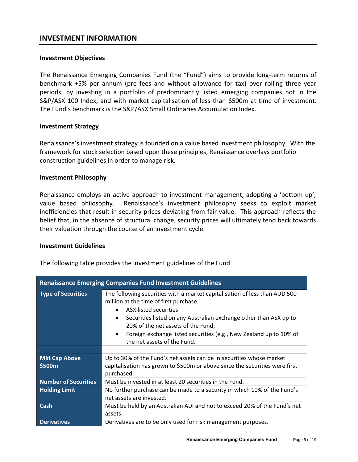## **INVESTMENT INFORMATION**

#### **Investment Objectives**

The Renaissance Emerging Companies Fund (the "Fund") aims to provide long-term returns of benchmark +5% per annum (pre fees and without allowance for tax) over rolling three year periods, by investing in a portfolio of predominantly listed emerging companies not in the S&P/ASX 100 Index, and with market capitalisation of less than \$500m at time of investment. The Fund's benchmark is the S&P/ASX Small Ordinaries Accumulation Index.

#### **Investment Strategy**

Renaissance's investment strategy is founded on a value based investment philosophy. With the framework for stock selection based upon these principles, Renaissance overlays portfolio construction guidelines in order to manage risk.

#### **Investment Philosophy**

Renaissance employs an active approach to investment management, adopting a 'bottom up', value based philosophy. Renaissance's investment philosophy seeks to exploit market inefficiencies that result in security prices deviating from fair value. This approach reflects the belief that, in the absence of structural change, security prices will ultimately tend back towards their valuation through the course of an investment cycle.

#### **Investment Guidelines**

The following table provides the investment guidelines of the Fund

| <b>Renaissance Emerging Companies Fund Investment Guidelines</b> |                                                                                                                                                                                                                                                                                                                                                                                 |  |  |
|------------------------------------------------------------------|---------------------------------------------------------------------------------------------------------------------------------------------------------------------------------------------------------------------------------------------------------------------------------------------------------------------------------------------------------------------------------|--|--|
| <b>Type of Securities</b>                                        | The following securities with a market capitalisation of less than AUD 500<br>million at the time of first purchase:<br>ASX listed securities<br>Securities listed on any Australian exchange other than ASX up to<br>٠<br>20% of the net assets of the Fund;<br>Foreign exchange listed securities (e.g., New Zealand up to 10% of<br>$\bullet$<br>the net assets of the Fund. |  |  |
|                                                                  |                                                                                                                                                                                                                                                                                                                                                                                 |  |  |
| <b>Mkt Cap Above</b>                                             | Up to 30% of the Fund's net assets can be in securities whose market                                                                                                                                                                                                                                                                                                            |  |  |
| \$500m                                                           | capitalisation has grown to \$500m or above since the securities were first<br>purchased.                                                                                                                                                                                                                                                                                       |  |  |
| <b>Number of Securities</b>                                      | Must be invested in at least 20 securities in the Fund.                                                                                                                                                                                                                                                                                                                         |  |  |
| <b>Holding Limit</b>                                             | No further purchase can be made to a security in which 10% of the Fund's                                                                                                                                                                                                                                                                                                        |  |  |
|                                                                  | net assets are invested.                                                                                                                                                                                                                                                                                                                                                        |  |  |
| <b>Cash</b>                                                      | Must be held by an Australian ADI and not to exceed 20% of the Fund's net                                                                                                                                                                                                                                                                                                       |  |  |
|                                                                  | assets.                                                                                                                                                                                                                                                                                                                                                                         |  |  |
| <b>Derivatives</b>                                               | Derivatives are to be only used for risk management purposes.                                                                                                                                                                                                                                                                                                                   |  |  |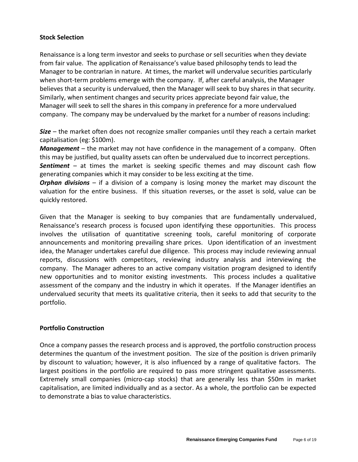## **Stock Selection**

Renaissance is a long term investor and seeks to purchase or sell securities when they deviate from fair value. The application of Renaissance's value based philosophy tends to lead the Manager to be contrarian in nature. At times, the market will undervalue securities particularly when short-term problems emerge with the company. If, after careful analysis, the Manager believes that a security is undervalued, then the Manager will seek to buy shares in that security. Similarly, when sentiment changes and security prices appreciate beyond fair value, the Manager will seek to sell the shares in this company in preference for a more undervalued company. The company may be undervalued by the market for a number of reasons including:

*Size* – the market often does not recognize smaller companies until they reach a certain market capitalisation (eg: \$100m).

*Management* – the market may not have confidence in the management of a company. Often this may be justified, but quality assets can often be undervalued due to incorrect perceptions. *Sentiment* – at times the market is seeking specific themes and may discount cash flow

generating companies which it may consider to be less exciting at the time.

*Orphan divisions* – if a division of a company is losing money the market may discount the valuation for the entire business. If this situation reverses, or the asset is sold, value can be quickly restored.

Given that the Manager is seeking to buy companies that are fundamentally undervalued, Renaissance's research process is focused upon identifying these opportunities. This process involves the utilisation of quantitative screening tools, careful monitoring of corporate announcements and monitoring prevailing share prices. Upon identification of an investment idea, the Manager undertakes careful due diligence. This process may include reviewing annual reports, discussions with competitors, reviewing industry analysis and interviewing the company. The Manager adheres to an active company visitation program designed to identify new opportunities and to monitor existing investments. This process includes a qualitative assessment of the company and the industry in which it operates. If the Manager identifies an undervalued security that meets its qualitative criteria, then it seeks to add that security to the portfolio.

## **Portfolio Construction**

Once a company passes the research process and is approved, the portfolio construction process determines the quantum of the investment position. The size of the position is driven primarily by discount to valuation; however, it is also influenced by a range of qualitative factors. The largest positions in the portfolio are required to pass more stringent qualitative assessments. Extremely small companies (micro-cap stocks) that are generally less than \$50m in market capitalisation, are limited individually and as a sector. As a whole, the portfolio can be expected to demonstrate a bias to value characteristics.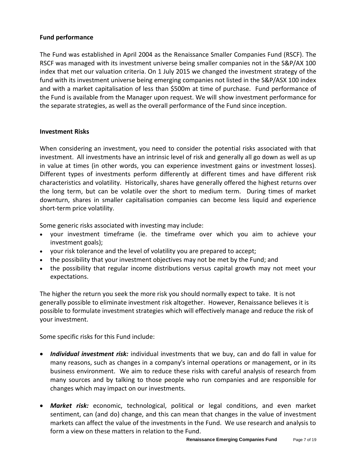## **Fund performance**

The Fund was established in April 2004 as the Renaissance Smaller Companies Fund (RSCF). The RSCF was managed with its investment universe being smaller companies not in the S&P/AX 100 index that met our valuation criteria. On 1 July 2015 we changed the investment strategy of the fund with its investment universe being emerging companies not listed in the S&P/ASX 100 index and with a market capitalisation of less than \$500m at time of purchase. Fund performance of the Fund is available from the Manager upon request. We will show investment performance for the separate strategies, as well as the overall performance of the Fund since inception.

## **Investment Risks**

When considering an investment, you need to consider the potential risks associated with that investment. All investments have an intrinsic level of risk and generally all go down as well as up in value at times (in other words, you can experience investment gains or investment losses). Different types of investments perform differently at different times and have different risk characteristics and volatility. Historically, shares have generally offered the highest returns over the long term, but can be volatile over the short to medium term. During times of market downturn, shares in smaller capitalisation companies can become less liquid and experience short-term price volatility.

Some generic risks associated with investing may include:

- your investment timeframe (ie. the timeframe over which you aim to achieve your investment goals);
- your risk tolerance and the level of volatility you are prepared to accept;
- the possibility that your investment objectives may not be met by the Fund; and
- the possibility that regular income distributions versus capital growth may not meet your expectations.

The higher the return you seek the more risk you should normally expect to take. It is not generally possible to eliminate investment risk altogether. However, Renaissance believes it is possible to formulate investment strategies which will effectively manage and reduce the risk of your investment.

Some specific risks for this Fund include:

- *Individual investment risk:* individual investments that we buy, can and do fall in value for many reasons, such as changes in a company's internal operations or management, or in its business environment. We aim to reduce these risks with careful analysis of research from many sources and by talking to those people who run companies and are responsible for changes which may impact on our investments.
- *Market risk:* economic, technological, political or legal conditions, and even market sentiment, can (and do) change, and this can mean that changes in the value of investment markets can affect the value of the investments in the Fund. We use research and analysis to form a view on these matters in relation to the Fund.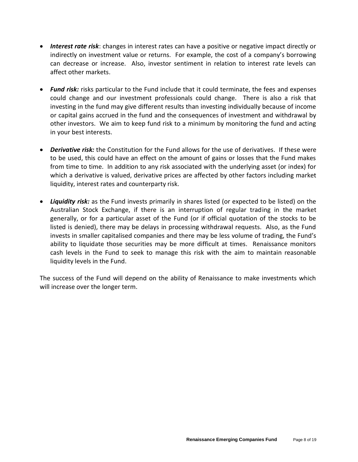- *Interest rate risk*: changes in interest rates can have a positive or negative impact directly or indirectly on investment value or returns. For example, the cost of a company's borrowing can decrease or increase. Also, investor sentiment in relation to interest rate levels can affect other markets.
- *Fund risk:* risks particular to the Fund include that it could terminate, the fees and expenses could change and our investment professionals could change. There is also a risk that investing in the fund may give different results than investing individually because of income or capital gains accrued in the fund and the consequences of investment and withdrawal by other investors. We aim to keep fund risk to a minimum by monitoring the fund and acting in your best interests.
- *Derivative risk:* the Constitution for the Fund allows for the use of derivatives. If these were to be used, this could have an effect on the amount of gains or losses that the Fund makes from time to time. In addition to any risk associated with the underlying asset (or index) for which a derivative is valued, derivative prices are affected by other factors including market liquidity, interest rates and counterparty risk.
- *Liquidity risk:* as the Fund invests primarily in shares listed (or expected to be listed) on the Australian Stock Exchange, if there is an interruption of regular trading in the market generally, or for a particular asset of the Fund (or if official quotation of the stocks to be listed is denied), there may be delays in processing withdrawal requests. Also, as the Fund invests in smaller capitalised companies and there may be less volume of trading, the Fund's ability to liquidate those securities may be more difficult at times. Renaissance monitors cash levels in the Fund to seek to manage this risk with the aim to maintain reasonable liquidity levels in the Fund.

The success of the Fund will depend on the ability of Renaissance to make investments which will increase over the longer term.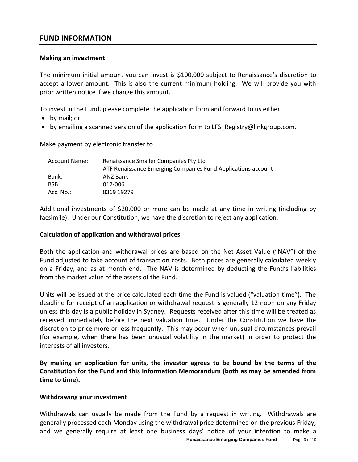## **FUND INFORMATION**

## **Making an investment**

The minimum initial amount you can invest is \$100,000 subject to Renaissance's discretion to accept a lower amount. This is also the current minimum holding. We will provide you with prior written notice if we change this amount.

To invest in the Fund, please complete the application form and forward to us either:

- by mail; or
- by emailing a scanned version of the application form to LFS\_Registry@linkgroup.com.

Make payment by electronic transfer to

| Account Name: | Renaissance Smaller Companies Pty Ltd                        |  |  |
|---------------|--------------------------------------------------------------|--|--|
|               | ATF Renaissance Emerging Companies Fund Applications account |  |  |
| Bank:         | ANZ Bank                                                     |  |  |
| BSB:          | 012-006                                                      |  |  |
| Acc. $No.:$   | 8369 19279                                                   |  |  |

Additional investments of \$20,000 or more can be made at any time in writing (including by facsimile). Under our Constitution, we have the discretion to reject any application.

### **Calculation of application and withdrawal prices**

Both the application and withdrawal prices are based on the Net Asset Value ("NAV") of the Fund adjusted to take account of transaction costs. Both prices are generally calculated weekly on a Friday, and as at month end. The NAV is determined by deducting the Fund's liabilities from the market value of the assets of the Fund.

Units will be issued at the price calculated each time the Fund is valued ("valuation time"). The deadline for receipt of an application or withdrawal request is generally 12 noon on any Friday unless this day is a public holiday in Sydney. Requests received after this time will be treated as received immediately before the next valuation time. Under the Constitution we have the discretion to price more or less frequently. This may occur when unusual circumstances prevail (for example, when there has been unusual volatility in the market) in order to protect the interests of all investors.

**By making an application for units, the investor agrees to be bound by the terms of the Constitution for the Fund and this Information Memorandum (both as may be amended from time to time).**

#### **Withdrawing your investment**

**Renaissance Emerging Companies Fund** Page 9 of 19 Withdrawals can usually be made from the Fund by a request in writing. Withdrawals are generally processed each Monday using the withdrawal price determined on the previous Friday, and we generally require at least one business days' notice of your intention to make a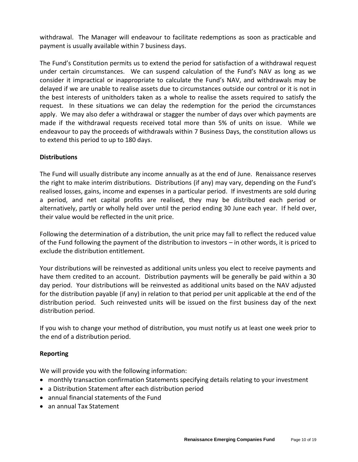withdrawal. The Manager will endeavour to facilitate redemptions as soon as practicable and payment is usually available within 7 business days.

The Fund's Constitution permits us to extend the period for satisfaction of a withdrawal request under certain circumstances. We can suspend calculation of the Fund's NAV as long as we consider it impractical or inappropriate to calculate the Fund's NAV, and withdrawals may be delayed if we are unable to realise assets due to circumstances outside our control or it is not in the best interests of unitholders taken as a whole to realise the assets required to satisfy the request. In these situations we can delay the redemption for the period the circumstances apply. We may also defer a withdrawal or stagger the number of days over which payments are made if the withdrawal requests received total more than 5% of units on issue. While we endeavour to pay the proceeds of withdrawals within 7 Business Days, the constitution allows us to extend this period to up to 180 days.

## **Distributions**

The Fund will usually distribute any income annually as at the end of June. Renaissance reserves the right to make interim distributions. Distributions (if any) may vary, depending on the Fund's realised losses, gains, income and expenses in a particular period. If investments are sold during a period, and net capital profits are realised, they may be distributed each period or alternatively, partly or wholly held over until the period ending 30 June each year. If held over, their value would be reflected in the unit price.

Following the determination of a distribution, the unit price may fall to reflect the reduced value of the Fund following the payment of the distribution to investors – in other words, it is priced to exclude the distribution entitlement.

Your distributions will be reinvested as additional units unless you elect to receive payments and have them credited to an account. Distribution payments will be generally be paid within a 30 day period. Your distributions will be reinvested as additional units based on the NAV adjusted for the distribution payable (if any) in relation to that period per unit applicable at the end of the distribution period. Such reinvested units will be issued on the first business day of the next distribution period.

If you wish to change your method of distribution, you must notify us at least one week prior to the end of a distribution period.

## **Reporting**

We will provide you with the following information:

- monthly transaction confirmation Statements specifying details relating to your investment
- a Distribution Statement after each distribution period
- annual financial statements of the Fund
- an annual Tax Statement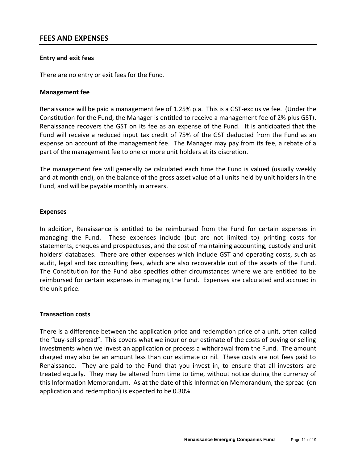## **FEES AND EXPENSES**

### **Entry and exit fees**

There are no entry or exit fees for the Fund.

#### **Management fee**

Renaissance will be paid a management fee of 1.25% p.a. This is a GST-exclusive fee. (Under the Constitution for the Fund, the Manager is entitled to receive a management fee of 2% plus GST). Renaissance recovers the GST on its fee as an expense of the Fund. It is anticipated that the Fund will receive a reduced input tax credit of 75% of the GST deducted from the Fund as an expense on account of the management fee. The Manager may pay from its fee, a rebate of a part of the management fee to one or more unit holders at its discretion.

The management fee will generally be calculated each time the Fund is valued (usually weekly and at month end), on the balance of the gross asset value of all units held by unit holders in the Fund, and will be payable monthly in arrears.

#### **Expenses**

In addition, Renaissance is entitled to be reimbursed from the Fund for certain expenses in managing the Fund. These expenses include (but are not limited to) printing costs for statements, cheques and prospectuses, and the cost of maintaining accounting, custody and unit holders' databases. There are other expenses which include GST and operating costs, such as audit, legal and tax consulting fees, which are also recoverable out of the assets of the Fund. The Constitution for the Fund also specifies other circumstances where we are entitled to be reimbursed for certain expenses in managing the Fund. Expenses are calculated and accrued in the unit price.

#### **Transaction costs**

There is a difference between the application price and redemption price of a unit, often called the "buy-sell spread". This covers what we incur or our estimate of the costs of buying or selling investments when we invest an application or process a withdrawal from the Fund. The amount charged may also be an amount less than our estimate or nil. These costs are not fees paid to Renaissance. They are paid to the Fund that you invest in, to ensure that all investors are treated equally. They may be altered from time to time, without notice during the currency of this Information Memorandum. As at the date of this Information Memorandum, the spread **(**on application and redemption) is expected to be 0.30%.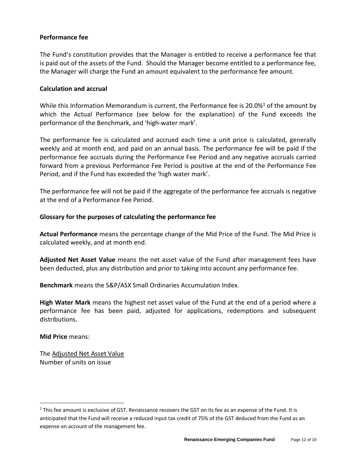## **Performance fee**

The Fund's constitution provides that the Manager is entitled to receive a performance fee that is paid out of the assets of the Fund. Should the Manager become entitled to a performance fee, the Manager will charge the Fund an amount equivalent to the performance fee amount.

## **Calculation and accrual**

While this Information Memorandum is current, the Performance fee is 20.0% $^1$  of the amount by which the Actual Performance (see below for the explanation) of the Fund exceeds the performance of the Benchmark, and 'high-water mark'.

The performance fee is calculated and accrued each time a unit price is calculated, generally weekly and at month end, and paid on an annual basis. The performance fee will be paid if the performance fee accruals during the Performance Fee Period and any negative accruals carried forward from a previous Performance Fee Period is positive at the end of the Performance Fee Period, and if the Fund has exceeded the 'high water mark'.

The performance fee will not be paid if the aggregate of the performance fee accruals is negative at the end of a Performance Fee Period.

## **Glossary for the purposes of calculating the performance fee**

**Actual Performance** means the percentage change of the Mid Price of the Fund. The Mid Price is calculated weekly, and at month end.

**Adjusted Net Asset Value** means the net asset value of the Fund after management fees have been deducted, plus any distribution and prior to taking into account any performance fee.

**Benchmark** means the S&P/ASX Small Ordinaries Accumulation Index.

**High Water Mark** means the highest net asset value of the Fund at the end of a period where a performance fee has been paid, adjusted for applications, redemptions and subsequent distributions.

**Mid Price** means:

The Adjusted Net Asset Value Number of units on issue

<sup>&</sup>lt;sup>1</sup> This fee amount is exclusive of GST. Renaissance recovers the GST on its fee as an expense of the Fund. It is anticipated that the Fund will receive a reduced input tax credit of 75% of the GST deduced from the Fund as an expense on account of the management fee.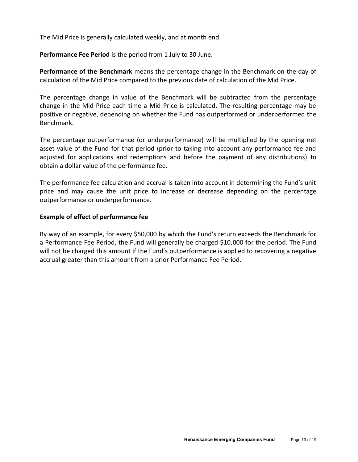The Mid Price is generally calculated weekly, and at month end.

**Performance Fee Period** is the period from 1 July to 30 June.

**Performance of the Benchmark** means the percentage change in the Benchmark on the day of calculation of the Mid Price compared to the previous date of calculation of the Mid Price.

The percentage change in value of the Benchmark will be subtracted from the percentage change in the Mid Price each time a Mid Price is calculated. The resulting percentage may be positive or negative, depending on whether the Fund has outperformed or underperformed the Benchmark.

The percentage outperformance (or underperformance) will be multiplied by the opening net asset value of the Fund for that period (prior to taking into account any performance fee and adjusted for applications and redemptions and before the payment of any distributions) to obtain a dollar value of the performance fee.

The performance fee calculation and accrual is taken into account in determining the Fund's unit price and may cause the unit price to increase or decrease depending on the percentage outperformance or underperformance.

### **Example of effect of performance fee**

By way of an example, for every \$50,000 by which the Fund's return exceeds the Benchmark for a Performance Fee Period, the Fund will generally be charged \$10,000 for the period. The Fund will not be charged this amount if the Fund's outperformance is applied to recovering a negative accrual greater than this amount from a prior Performance Fee Period.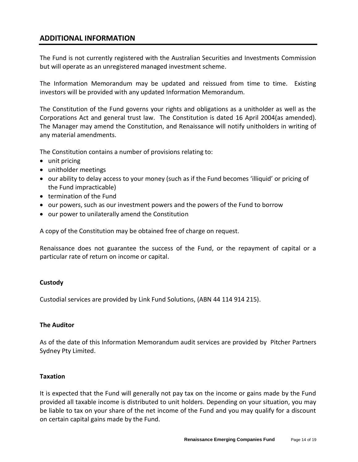# **ADDITIONAL INFORMATION**

The Fund is not currently registered with the Australian Securities and Investments Commission but will operate as an unregistered managed investment scheme.

The Information Memorandum may be updated and reissued from time to time. Existing investors will be provided with any updated Information Memorandum.

The Constitution of the Fund governs your rights and obligations as a unitholder as well as the Corporations Act and general trust law. The Constitution is dated 16 April 2004(as amended). The Manager may amend the Constitution, and Renaissance will notify unitholders in writing of any material amendments.

The Constitution contains a number of provisions relating to:

- unit pricing
- unitholder meetings
- our ability to delay access to your money (such as if the Fund becomes 'illiquid' or pricing of the Fund impracticable)
- termination of the Fund
- our powers, such as our investment powers and the powers of the Fund to borrow
- our power to unilaterally amend the Constitution

A copy of the Constitution may be obtained free of charge on request.

Renaissance does not guarantee the success of the Fund, or the repayment of capital or a particular rate of return on income or capital.

## **Custody**

Custodial services are provided by Link Fund Solutions, (ABN 44 114 914 215).

## **The Auditor**

As of the date of this Information Memorandum audit services are provided by Pitcher Partners Sydney Pty Limited.

## **Taxation**

It is expected that the Fund will generally not pay tax on the income or gains made by the Fund provided all taxable income is distributed to unit holders. Depending on your situation, you may be liable to tax on your share of the net income of the Fund and you may qualify for a discount on certain capital gains made by the Fund.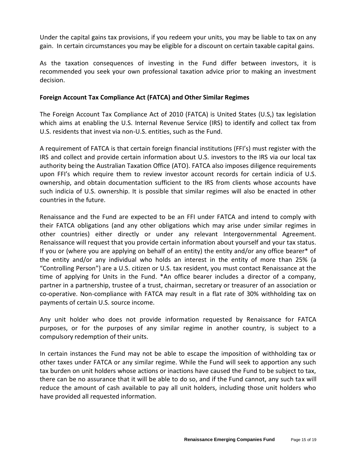Under the capital gains tax provisions, if you redeem your units, you may be liable to tax on any gain. In certain circumstances you may be eligible for a discount on certain taxable capital gains.

As the taxation consequences of investing in the Fund differ between investors, it is recommended you seek your own professional taxation advice prior to making an investment decision.

## **Foreign Account Tax Compliance Act (FATCA) and Other Similar Regimes**

The Foreign Account Tax Compliance Act of 2010 (FATCA) is United States (U.S,) tax legislation which aims at enabling the U.S. Internal Revenue Service (IRS) to identify and collect tax from U.S. residents that invest via non-U.S. entities, such as the Fund.

A requirement of FATCA is that certain foreign financial institutions (FFI's) must register with the IRS and collect and provide certain information about U.S. investors to the IRS via our local tax authority being the Australian Taxation Office (ATO). FATCA also imposes diligence requirements upon FFI's which require them to review investor account records for certain indicia of U.S. ownership, and obtain documentation sufficient to the IRS from clients whose accounts have such indicia of U.S. ownership. It is possible that similar regimes will also be enacted in other countries in the future.

Renaissance and the Fund are expected to be an FFI under FATCA and intend to comply with their FATCA obligations (and any other obligations which may arise under similar regimes in other countries) either directly or under any relevant Intergovernmental Agreement. Renaissance will request that you provide certain information about yourself and your tax status. If you or (where you are applying on behalf of an entity) the entity and/or any office bearer\* of the entity and/or any individual who holds an interest in the entity of more than 25% (a "Controlling Person") are a U.S. citizen or U.S. tax resident, you must contact Renaissance at the time of applying for Units in the Fund. \*An office bearer includes a director of a company, partner in a partnership, trustee of a trust, chairman, secretary or treasurer of an association or co-operative. Non-compliance with FATCA may result in a flat rate of 30% withholding tax on payments of certain U.S. source income.

Any unit holder who does not provide information requested by Renaissance for FATCA purposes, or for the purposes of any similar regime in another country, is subject to a compulsory redemption of their units.

In certain instances the Fund may not be able to escape the imposition of withholding tax or other taxes under FATCA or any similar regime. While the Fund will seek to apportion any such tax burden on unit holders whose actions or inactions have caused the Fund to be subject to tax, there can be no assurance that it will be able to do so, and if the Fund cannot, any such tax will reduce the amount of cash available to pay all unit holders, including those unit holders who have provided all requested information.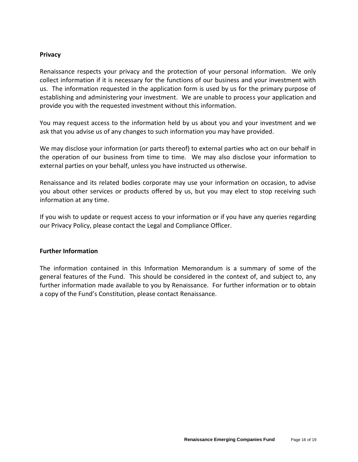## **Privacy**

Renaissance respects your privacy and the protection of your personal information. We only collect information if it is necessary for the functions of our business and your investment with us. The information requested in the application form is used by us for the primary purpose of establishing and administering your investment. We are unable to process your application and provide you with the requested investment without this information.

You may request access to the information held by us about you and your investment and we ask that you advise us of any changes to such information you may have provided.

We may disclose your information (or parts thereof) to external parties who act on our behalf in the operation of our business from time to time. We may also disclose your information to external parties on your behalf, unless you have instructed us otherwise.

Renaissance and its related bodies corporate may use your information on occasion, to advise you about other services or products offered by us, but you may elect to stop receiving such information at any time.

If you wish to update or request access to your information or if you have any queries regarding our Privacy Policy, please contact the Legal and Compliance Officer.

#### **Further Information**

The information contained in this Information Memorandum is a summary of some of the general features of the Fund. This should be considered in the context of, and subject to, any further information made available to you by Renaissance. For further information or to obtain a copy of the Fund's Constitution, please contact Renaissance.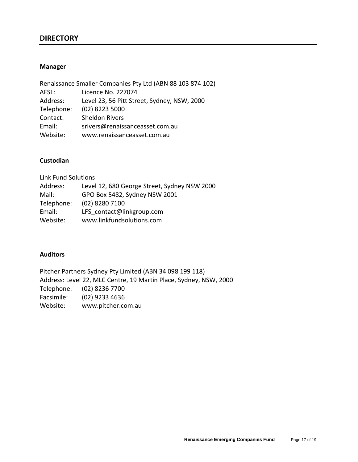## **DIRECTORY**

#### **Manager**

|            | Renaissance Smaller Companies Pty Ltd (ABN 88 103 874 102) |
|------------|------------------------------------------------------------|
| AFSL:      | Licence No. 227074                                         |
| Address:   | Level 23, 56 Pitt Street, Sydney, NSW, 2000                |
| Telephone: | (02) 8223 5000                                             |
| Contact:   | <b>Sheldon Rivers</b>                                      |
| Email:     | srivers@renaissanceasset.com.au                            |
| Website:   | www.renaissanceasset.com.au                                |

## **Custodian**

| <b>Link Fund Solutions</b>                   |
|----------------------------------------------|
| Level 12, 680 George Street, Sydney NSW 2000 |
| GPO Box 5482, Sydney NSW 2001                |
| (02) 8280 7100                               |
| LFS contact@linkgroup.com                    |
| www.linkfundsolutions.com                    |
|                                              |

### **Auditors**

Pitcher Partners Sydney Pty Limited (ABN 34 098 199 118) Address: Level 22, MLC Centre, 19 Martin Place, Sydney, NSW, 2000 Telephone: (02) 8236 7700 Facsimile: (02) 9233 4636 Website: www.pitcher.com.au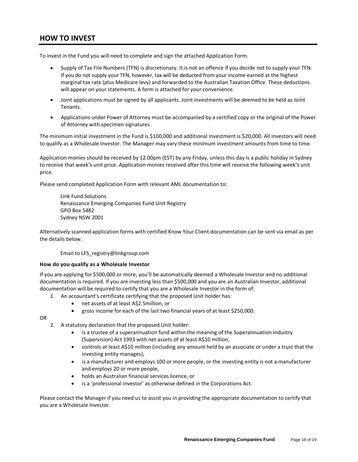## **HOW TO INVEST**

To invest in the Fund you will need to complete and sign the attached Application Form.

- Supply of Tax File Numbers (TFN) is discretionary. It is not an offence if you decide not to supply your TFN. If you do not supply your TFN, however, tax will be deducted from your income earned at the highest marginal tax rate (plus Medicare levy) and forwarded to the Australian Taxation Office. These deductions will appear on your statements. A form is attached for your convenience.
- Joint applications must be signed by all applicants. Joint investments will be deemed to be held as Joint Tenants.
- Applications under Power of Attorney must be accompanied by a certified copy or the original of the Power of Attorney with specimen signatures.

The minimum initial investment in the Fund is \$100,000 and additional investment is \$20,000. All investors will need to qualify as a Wholesale Investor. The Manager may vary these minimum investment amounts from time to time.

Application monies should be received by 12.00pm (EST) by any Friday, unless this day is a public holiday in Sydney to receive that week's unit price. Application monies received after this time will receive the following week's unit price.

Please send completed Application Form with relevant AML documentation to:

Link Fund Solutions Renaissance Emerging Companies Fund Unit Registry GPO Box 5482 Sydney NSW 2001

Alternatively scanned application forms with certified Know Your Client documentation can be sent via email as per the details below.

Email to LFS\_registry@linkgroup.com

#### **How do you qualify as a Wholesale Investor**

If you are applying for \$500,000 or more, you'll be automatically deemed a Wholesale Investor and no additional documentation is required. If you are investing less than \$500,000 and you are an Australian Investor, additional documentation will be required to certify that you are a Wholesale Investor in the form of:

- 1. An accountant's certificate certifying that the proposed Unit holder has:
	- net assets of at least A\$2.5million, or
	- gross income for each of the last two financial years of at least \$250,000.

OR

- 2. A statutory declaration that the proposed Unit holder:
	- is a trustee of a superannuation fund within the meaning of the Superannuation Industry (Supervision) Act 1993 with net assets of at least A\$10 million,
	- controls at least A\$10 million (including any amount held by an associate or under a trust that the investing entity manages),
	- is a manufacturer and employs 100 or more people, or the investing entity is not a manufacturer and employs 20 or more people,
	- holds an Australian financial services licence, or
	- is a 'professional investor' as otherwise defined in the Corporations Act.

Please contact the Manager if you need us to assist you in providing the appropriate documentation to certify that you are a Wholesale Investor.